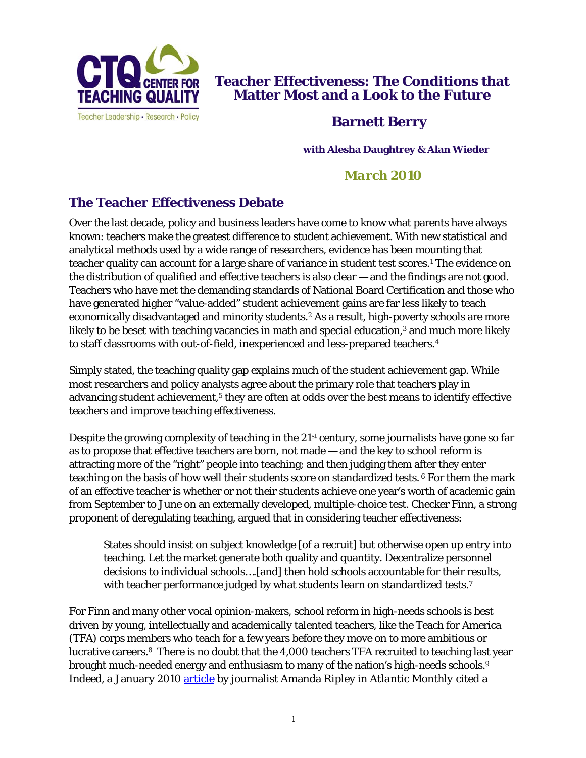

**Teacher Effectiveness: The Conditions that Matter Most and a Look to the Future** 

## **Barnett Berry**

**with Alesha Daughtrey & Alan Wieder**

# *March 2010*

## **The Teacher Effectiveness Debate**

Over the last decade, policy and business leaders have come to know what parents have always known: teachers make the greatest difference to student achievement. With new statistical and analytical methods used by a wide range of researchers, evidence has been mounting that teacher quality can account for a large share of variance in student test scores.1 The evidence on the distribution of qualified and effective teachers is also clear — and the findings are not good. Teachers who have met the demanding standards of National Board Certification and those who have generated higher "value-added" student achievement gains are far less likely to teach economically disadvantaged and minority students.<sup>2</sup> As a result, high-poverty schools are more likely to be beset with teaching vacancies in math and special education,<sup>3</sup> and much more likely to staff classrooms with out-of-field, inexperienced and less-prepared teachers.4

Simply stated, the teaching quality gap explains much of the student achievement gap. While most researchers and policy analysts agree about the primary role that teachers play in advancing student achievement,<sup>5</sup> they are often at odds over the best means to identify effective teachers and improve teaching effectiveness.

Despite the growing complexity of teaching in the 21st century, some journalists have gone so far as to propose that effective teachers are born, not made — and *the* key to school reform is attracting more of the "right" people into teaching; and then judging them after they enter teaching on the basis of how well their students score on standardized tests. 6 For them the mark of an effective teacher is whether or not their students achieve one year's worth of academic gain from September to June on an externally developed, multiple-choice test. Checker Finn, a strong proponent of deregulating teaching, argued that in considering teacher effectiveness:

States should insist on subject knowledge [of a recruit] but otherwise open up entry into teaching. Let the market generate both quality and quantity. Decentralize personnel decisions to individual schools….[and] then hold schools accountable for their results, with teacher performance judged by what students learn on standardized tests.<sup>7</sup>

For Finn and many other vocal opinion-makers, school reform in high-needs schools is best driven by young, intellectually and academically talented teachers, like the Teach for America (TFA) corps members who teach for a few years before they move on to more ambitious or lucrative careers.8 There is no doubt that the 4,000 teachers TFA recruited to teaching last year brought much-needed energy and enthusiasm to many of the nation's high-needs schools.9 Indeed, a January 2010 article by journalist Amanda Ripley in *Atlantic Monthly* cited a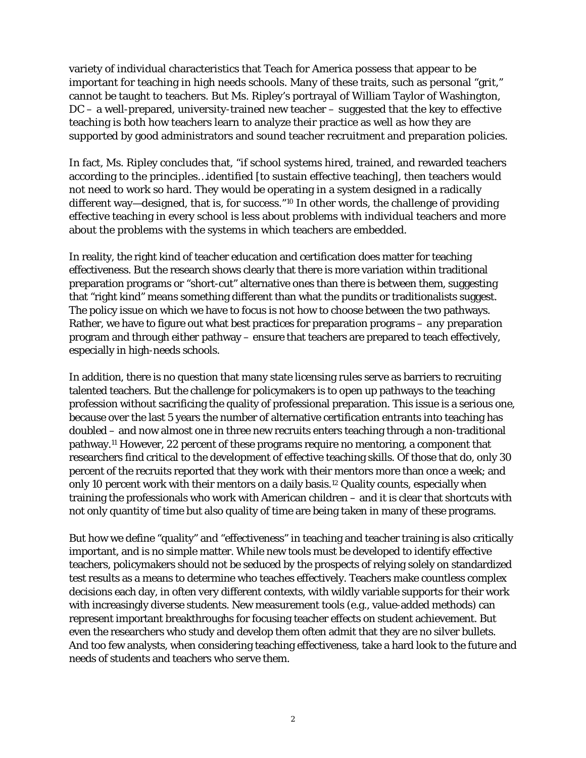variety of individual characteristics that Teach for America possess that appear to be important for teaching in high needs schools. Many of these traits, such as personal "grit," cannot be taught to teachers. But Ms. Ripley's portrayal of William Taylor of Washington, DC – a well-prepared, university-trained new teacher – suggested that the key to effective teaching is both how teachers learn to analyze their practice as well as how they are supported by good administrators and sound teacher recruitment and preparation policies.

In fact, Ms. Ripley concludes that, "if school systems hired, trained, and rewarded teachers according to the principles…identified [to sustain effective teaching], then teachers would not need to work so hard. They would be operating in a system designed in a radically different way—designed, that is, for success."<sup>10</sup> In other words, the challenge of providing effective teaching in every school is less about problems with individual teachers and more about the problems with the systems in which teachers are embedded.

In reality, the right kind of teacher education and certification does matter for teaching effectiveness. But the research shows clearly that there is more variation within traditional preparation programs or "short-cut" alternative ones than there is between them, suggesting that "right kind" means something different than what the pundits or traditionalists suggest. The policy issue on which we have to focus is not how to choose between the two pathways. Rather, we have to figure out what best practices for preparation programs – *any* preparation program and through *either* pathway – ensure that teachers are prepared to teach effectively, especially in high-needs schools.

In addition, there is no question that many state licensing rules serve as barriers to recruiting talented teachers. But the challenge for policymakers is to open up pathways to the teaching profession without sacrificing the quality of professional preparation. This issue is a serious one, because over the last 5 years the number of alternative certification entrants into teaching has doubled – and now almost one in three new recruits enters teaching through a non-traditional pathway.11 However, 22 percent of these programs require no mentoring, a component that researchers find critical to the development of effective teaching skills. Of those that do, only 30 percent of the recruits reported that they work with their mentors more than once a week; and only 10 percent work with their mentors on a daily basis.<sup>12</sup> Quality counts, especially when training the professionals who work with American children – and it is clear that shortcuts with not only quantity of time but also quality of time are being taken in many of these programs.

But how we define "quality" and "effectiveness" in teaching and teacher training is also critically important, and is no simple matter. While new tools must be developed to identify effective teachers, policymakers should not be seduced by the prospects of relying solely on standardized test results as a means to determine who teaches effectively. Teachers make countless complex decisions each day, in often very different contexts, with wildly variable supports for their work with increasingly diverse students. New measurement tools (e.g., value-added methods) can represent important breakthroughs for focusing teacher effects on student achievement. But even the researchers who study and develop them often admit that they are no silver bullets. And too few analysts, when considering teaching effectiveness, take a hard look to the future and needs of students and teachers who serve them.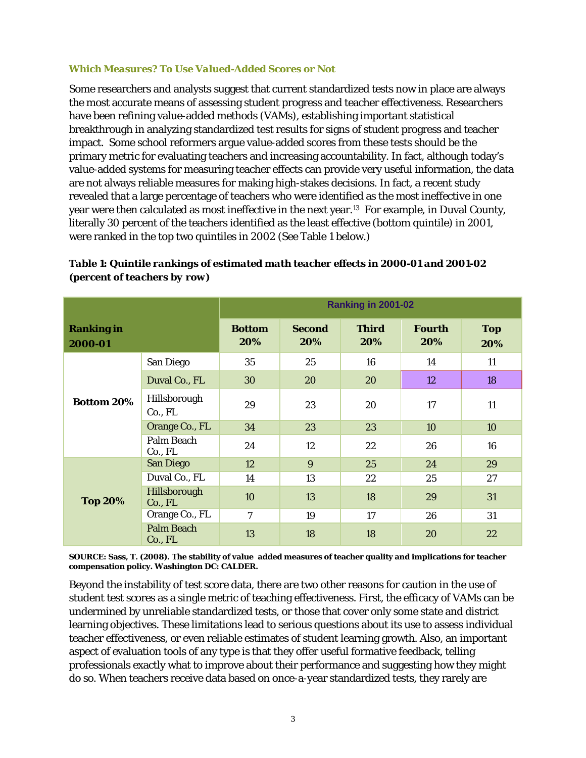#### *Which Measures? To Use Valued-Added Scores or Not*

г

Some researchers and analysts suggest that current standardized tests now in place are always the most accurate means of assessing student progress and teacher effectiveness. Researchers have been refining value-added methods (VAMs), establishing important statistical breakthrough in analyzing standardized test results for signs of student progress and teacher impact. Some school reformers argue value-added scores from these tests should be the primary metric for evaluating teachers and increasing accountability. In fact, although today's value-added systems for measuring teacher effects can provide very useful information, the data are not always reliable measures for making high-stakes decisions. In fact, a recent study revealed that a large percentage of teachers who were identified as the *most ineffective* in one year were then calculated as most ineffective in the next year.13 For example, in Duval County, literally 30 percent of the teachers identified as the least effective (bottom quintile) in 2001, were ranked in the top two quintiles in 2002 (See Table 1 below.)

| (percent of teachers by row) |                    |
|------------------------------|--------------------|
|                              | Ranking in 2001-02 |

┓

*Table 1: Quintile rankings of estimated math teacher effects in 2000-01 and 2001-02* 

|                              |                              | <b>Ranking in 2001-02</b> |                      |                     |                      |                   |  |  |
|------------------------------|------------------------------|---------------------------|----------------------|---------------------|----------------------|-------------------|--|--|
| <b>Ranking in</b><br>2000-01 |                              | <b>Bottom</b><br>20%      | <b>Second</b><br>20% | <b>Third</b><br>20% | <b>Fourth</b><br>20% | <b>Top</b><br>20% |  |  |
| <b>Bottom 20%</b>            | San Diego                    | 35                        | 16<br>25             |                     | 14                   | 11                |  |  |
|                              | Duval Co., FL                | 30                        | 20                   | 20                  | 12                   | 18                |  |  |
|                              | Hillsborough<br>Co., FL      | 29                        | 23                   | 20                  | 17                   | 11                |  |  |
|                              | Orange Co., FL               | 34                        | 23                   | 23                  | 10                   | 10                |  |  |
|                              | Palm Beach<br>Co., FL        | 24                        | 12                   | 22                  | 26                   | 16                |  |  |
|                              | <b>San Diego</b>             | 12                        | 9                    | 25                  | 24                   | 29                |  |  |
|                              | Duval Co., FL                | 14                        | 13                   | 22                  | 25                   | 27                |  |  |
| <b>Top 20%</b>               | Hillsborough<br>Co., FL      | 10                        | 13                   | 18                  | 29                   | 31                |  |  |
|                              | Orange Co., FL               | 7                         | 19                   | 17                  | 26                   | 31                |  |  |
|                              | <b>Palm Beach</b><br>Co., FL | 13                        | 18                   | 18                  | 20                   | 22                |  |  |

**SOURCE: Sass, T. (2008). The stability of valueadded measures of teacher quality and implications for teacher compensation policy. Washington DC: CALDER.**

Beyond the instability of test score data, there are two other reasons for caution in the use of student test scores as a single metric of teaching effectiveness. First, the efficacy of VAMs can be undermined by unreliable standardized tests, or those that cover only some state and district learning objectives. These limitations lead to serious questions about its use to assess individual teacher effectiveness, or even reliable estimates of student learning growth. Also, an important aspect of evaluation tools of any type is that they offer useful formative feedback, telling professionals exactly what to improve about their performance and suggesting how they might do so. When teachers receive data based on once-a-year standardized tests, they rarely are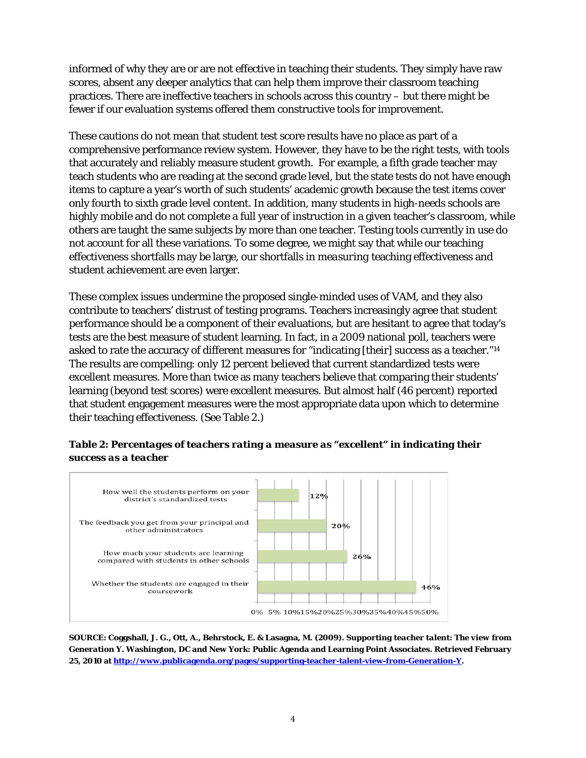informed of why they are or are not effective in teaching their students. They simply have raw scores, absent any deeper analytics that can help them improve their classroom teaching practices. There are ineffective teachers in schools across this country – but there might be fewer if our evaluation systems offered them constructive tools for improvement.

These cautions do not mean that student test score results have no place as part of a comprehensive performance review system. However, they have to be the right tests, with tools that accurately and reliably measure student growth. For example, a fifth grade teacher may teach students who are reading at the second grade level, but the state tests do not have enough items to capture a year's worth of such students' academic growth because the test items cover only fourth to sixth grade level content. In addition, many students in high-needs schools are highly mobile and do not complete a full year of instruction in a given teacher's classroom, while others are taught the same subjects by more than one teacher. Testing tools currently in use do not account for all these variations. To some degree, we might say that while our teaching effectiveness shortfalls may be large, our shortfalls in *measuring* teaching effectiveness and student achievement are even larger.

These complex issues undermine the proposed single-minded uses of VAM, and they also contribute to teachers' distrust of testing programs. Teachers increasingly agree that student performance should be a component of their evaluations, but are hesitant to agree that today's tests are the best measure of student learning. In fact, in a 2009 national poll, teachers were asked to rate the accuracy of different measures for "indicating [their] success as a teacher."14 The results are compelling: only 12 percent believed that current standardized tests were excellent measures. More than twice as many teachers believe that comparing their students' learning (beyond test scores) were excellent measures. But almost half (46 percent) reported that student engagement measures were the most appropriate data upon which to determine their teaching effectiveness. (See Table 2.)





**SOURCE: Coggshall, J. G., Ott, A., Behrstock, E. & Lasagna, M. (2009).** *Supporting teacher talent: The view from Generation Y***. Washington, DC and New York: Public Agenda and Learning Point Associates. Retrieved February 25, 2010 at http://www.publicagenda.org/pages/supporting-teacher-talent-view-from-Generation-Y.**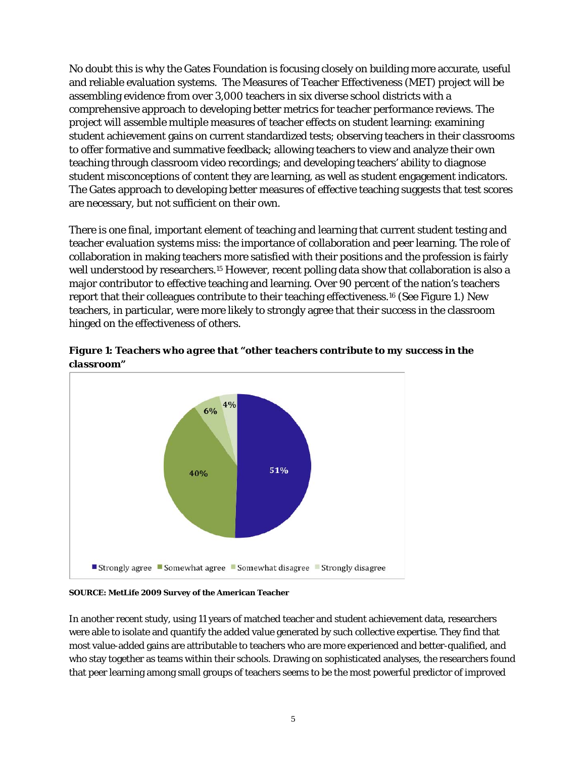No doubt this is why the Gates Foundation is focusing closely on building more accurate, useful and reliable evaluation systems. The Measures of Teacher Effectiveness (MET) project will be assembling evidence from over 3,000 teachers in six diverse school districts with a comprehensive approach to developing better metrics for teacher performance reviews. The project will assemble multiple measures of teacher effects on student learning: examining student achievement gains on current standardized tests; observing teachers in their classrooms to offer formative and summative feedback; allowing teachers to view and analyze their own teaching through classroom video recordings; and developing teachers' ability to diagnose student misconceptions of content they are learning, as well as student engagement indicators. The Gates approach to developing better measures of effective teaching suggests that test scores are necessary, but not sufficient on their own.

There is one final, important element of teaching and learning that current student testing and teacher evaluation systems miss: the importance of collaboration and peer learning. The role of collaboration in making teachers more satisfied with their positions and the profession is fairly well understood by researchers.<sup>15</sup> However, recent polling data show that collaboration is also a major contributor to effective teaching and learning. Over 90 percent of the nation's teachers report that their colleagues contribute to their teaching effectiveness.16 (See Figure 1.) New teachers, in particular, were more likely to strongly agree that their success in the classroom hinged on the effectiveness of others.



*Figure 1: Teachers who agree that "other teachers contribute to my success in the classroom"* 

**SOURCE: MetLife 2009 Survey of the American Teacher** 

In another recent study, using 11 years of matched teacher and student achievement data, researchers were able to isolate and quantify the added value generated by such collective expertise. They find that most value-added gains are attributable to teachers who are more experienced and better-qualified, and who stay together as teams within their schools. Drawing on sophisticated analyses, the researchers found that peer learning among small groups of teachers seems to be the most powerful predictor of improved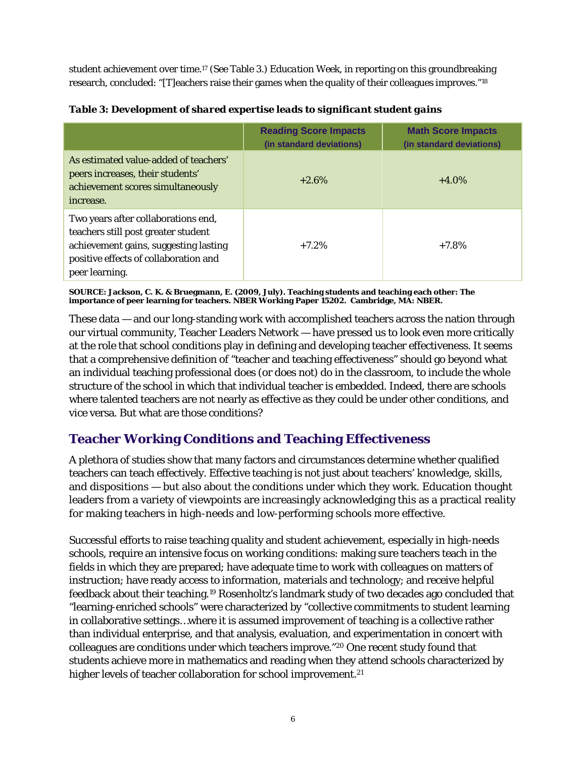student achievement over time.17 (See Table 3.) *Education Week*, in reporting on this groundbreaking research, concluded: "[T]eachers raise their games when the quality of their colleagues improves."18

|                                                                                                                                                                                | <b>Reading Score Impacts</b><br>(in standard deviations) | <b>Math Score Impacts</b><br>(in standard deviations) |
|--------------------------------------------------------------------------------------------------------------------------------------------------------------------------------|----------------------------------------------------------|-------------------------------------------------------|
| As estimated value-added of teachers'<br>peers increases, their students'<br>achievement scores simultaneously<br>increase.                                                    | $+2.6%$                                                  | $+4.0\%$                                              |
| Two years after collaborations end,<br>teachers still post greater student<br>achievement gains, suggesting lasting<br>positive effects of collaboration and<br>peer learning. | $+7.2%$                                                  | $+7.8%$                                               |

*Table 3: Development of shared expertise leads to significant student gains* 

**SOURCE: Jackson, C. K. & Bruegmann, E. (2009, July). Teaching students and teaching each other: The importance of peer learning for teachers. NBER Working Paper 15202. Cambridge, MA: NBER.**

These data — and our long-standing work with accomplished teachers across the nation through our virtual community, Teacher Leaders Network — have pressed us to look even more critically at the role that school conditions play in defining and developing teacher effectiveness. It seems that a comprehensive definition of "teacher and teaching effectiveness" should go beyond what an individual teaching professional does (or does not) do in the classroom, to include the whole structure of the school in which that individual teacher is embedded. Indeed, there are schools where talented teachers are not nearly as effective as they could be under other conditions, and vice versa. But what are those conditions?

## **Teacher Working Conditions and Teaching Effectiveness**

A plethora of studies show that many factors and circumstances determine whether qualified teachers can teach effectively. Effective teaching is not just about teachers' knowledge, skills, and dispositions — but also about the conditions under which they work. Education thought leaders from a variety of viewpoints are increasingly acknowledging this as a practical reality for making teachers in high-needs and low-performing schools more effective.

Successful efforts to raise teaching quality and student achievement, especially in high-needs schools, require an intensive focus on working conditions: making sure teachers teach in the fields in which they are prepared; have adequate time to work with colleagues on matters of instruction; have ready access to information, materials and technology; and receive helpful feedback about their teaching.19 Rosenholtz's landmark study of two decades ago concluded that "learning-enriched schools" were characterized by "collective commitments to student learning in collaborative settings…where it is assumed improvement of teaching is a collective rather than individual enterprise, and that analysis, evaluation, and experimentation in concert with colleagues are conditions under which teachers improve."20 One recent study found that students achieve more in mathematics and reading when they attend schools characterized by higher levels of teacher collaboration for school improvement.<sup>21</sup>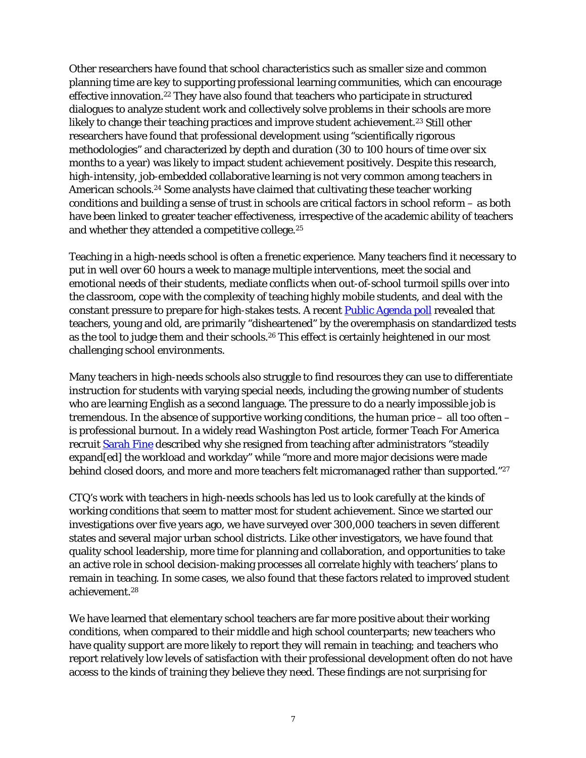Other researchers have found that school characteristics such as smaller size and common planning time are key to supporting professional learning communities, which can encourage effective innovation.<sup>22</sup> They have also found that teachers who participate in structured dialogues to analyze student work and collectively solve problems in their schools are more likely to change their teaching practices and improve student achievement.<sup>23</sup> Still other researchers have found that professional development using "scientifically rigorous methodologies" and characterized by depth and duration (30 to 100 hours of time over six months to a year) was likely to impact student achievement positively. Despite this research, high-intensity, job-embedded collaborative learning is not very common among teachers in American schools.24 Some analysts have claimed that cultivating these teacher working conditions and building a sense of trust in schools are critical factors in school reform – as both have been linked to greater teacher effectiveness, irrespective of the academic ability of teachers and whether they attended a competitive college.25

Teaching in a high-needs school is often a frenetic experience. Many teachers find it necessary to put in well over 60 hours a week to manage multiple interventions, meet the social and emotional needs of their students, mediate conflicts when out-of-school turmoil spills over into the classroom, cope with the complexity of teaching highly mobile students, and deal with the constant pressure to prepare for high-stakes tests. A recent Public Agenda poll revealed that teachers, young and old, are primarily "disheartened" by the overemphasis on standardized tests as the tool to judge them and their schools.<sup>26</sup> This effect is certainly heightened in our most challenging school environments.

Many teachers in high-needs schools also struggle to find resources they can use to differentiate instruction for students with varying special needs, including the growing number of students who are learning English as a second language. The pressure to do a nearly impossible job is tremendous. In the absence of supportive working conditions, the human price – all too often – is professional burnout. In a widely read *Washington Post* article, former Teach For America recruit Sarah Fine described why she resigned from teaching after administrators "steadily expand[ed] the workload and workday" while "more and more major decisions were made behind closed doors, and more and more teachers felt micromanaged rather than supported."<sup>27</sup>

CTQ's work with teachers in high-needs schools has led us to look carefully at the kinds of working conditions that seem to matter most for student achievement. Since we started our investigations over five years ago, we have surveyed over 300,000 teachers in seven different states and several major urban school districts. Like other investigators, we have found that quality school leadership, more time for planning and collaboration, and opportunities to take an active role in school decision-making processes all correlate highly with teachers' plans to remain in teaching. In some cases, we also found that these factors related to improved student achievement.28

We have learned that elementary school teachers are far more positive about their working conditions, when compared to their middle and high school counterparts; new teachers who have quality support are more likely to report they will remain in teaching; and teachers who report relatively low levels of satisfaction with their professional development often do not have access to the kinds of training they believe they need. These findings are not surprising for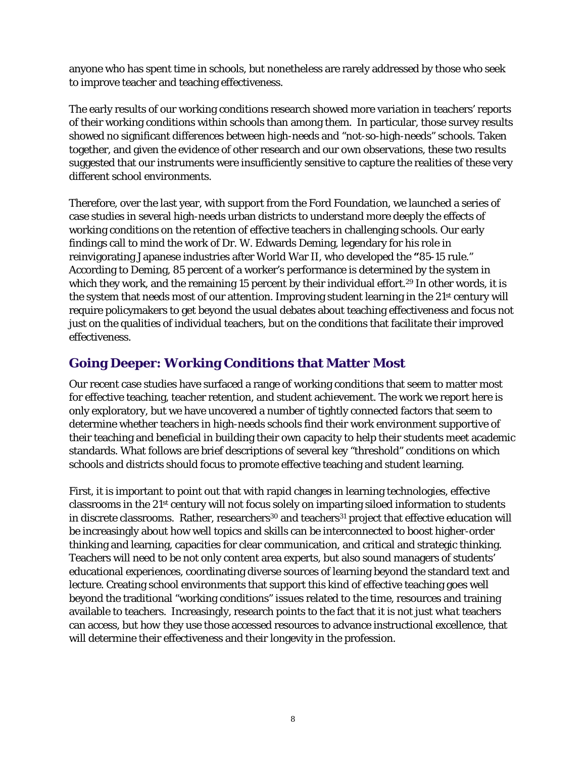anyone who has spent time in schools, but nonetheless are rarely addressed by those who seek to improve teacher and teaching effectiveness.

The early results of our working conditions research showed more variation in teachers' reports of their working conditions within schools than among them. In particular, those survey results showed no significant differences between high-needs and "not-so-high-needs" schools. Taken together, and given the evidence of other research and our own observations, these two results suggested that our instruments were insufficiently sensitive to capture the realities of these very different school environments.

Therefore, over the last year, with support from the Ford Foundation, we launched a series of case studies in several high-needs urban districts to understand more deeply the effects of working conditions on the retention of effective teachers in challenging schools. Our early findings call to mind the work of Dr. W. Edwards Deming, legendary for his role in reinvigorating Japanese industries after World War II, who developed the **"**85-15 rule." According to Deming, 85 percent of a worker's performance is determined by the system in which they work, and the remaining 15 percent by their individual effort.<sup>29</sup> In other words, it is the system that needs most of our attention. Improving student learning in the 21st century will require policymakers to get beyond the usual debates about teaching effectiveness and focus not just on the qualities of individual teachers, but on the conditions that facilitate their improved effectiveness.

## **Going Deeper: Working Conditions that Matter Most**

Our recent case studies have surfaced a range of working conditions that seem to matter most for effective teaching, teacher retention, and student achievement. The work we report here is only exploratory, but we have uncovered a number of tightly connected factors that seem to determine whether teachers in high-needs schools find their work environment supportive of their teaching and beneficial in building their own capacity to help their students meet academic standards. What follows are brief descriptions of several key "threshold" conditions on which schools and districts should focus to promote effective teaching and student learning.

First, it is important to point out that with rapid changes in learning technologies, effective classrooms in the 21st century will not focus solely on imparting siloed information to students in discrete classrooms. Rather, researchers<sup>30</sup> and teachers<sup>31</sup> project that effective education will be increasingly about how well topics and skills can be interconnected to boost higher-order thinking and learning, capacities for clear communication, and critical and strategic thinking. Teachers will need to be not only content area experts, but also sound managers of students' educational experiences, coordinating diverse sources of learning beyond the standard text and lecture. Creating school environments that support this kind of effective teaching goes well beyond the traditional "working conditions" issues related to the time, resources and training available to teachers. Increasingly, research points to the fact that it is not just *what* teachers can access, but *how* they use those accessed resources to advance instructional excellence, that will determine their effectiveness and their longevity in the profession.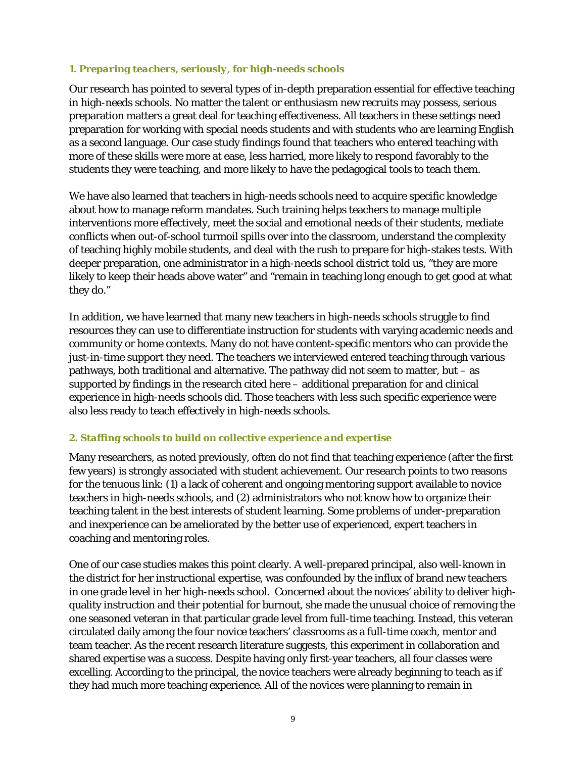#### *1. Preparing teachers, seriously, for high-needs schools*

Our research has pointed to several types of in-depth preparation essential for effective teaching in high-needs schools. No matter the talent or enthusiasm new recruits may possess, serious preparation matters a great deal for teaching effectiveness. All teachers in these settings need preparation for working with special needs students and with students who are learning English as a second language. Our case study findings found that teachers who entered teaching with more of these skills were more at ease, less harried, more likely to respond favorably to the students they were teaching, and more likely to have the pedagogical tools to teach them.

We have also learned that teachers in high-needs schools need to acquire specific knowledge about how to manage reform mandates. Such training helps teachers to manage multiple interventions more effectively, meet the social and emotional needs of their students, mediate conflicts when out-of-school turmoil spills over into the classroom, understand the complexity of teaching highly mobile students, and deal with the rush to prepare for high-stakes tests. With deeper preparation, one administrator in a high-needs school district told us, "they are more likely to keep their heads above water" and "remain in teaching long enough to get good at what they do."

In addition, we have learned that many new teachers in high-needs schools struggle to find resources they can use to differentiate instruction for students with varying academic needs and community or home contexts. Many do not have content-specific mentors who can provide the just-in-time support they need. The teachers we interviewed entered teaching through various pathways, both traditional and alternative. The pathway did not seem to matter, but  $-$  as supported by findings in the research cited here – additional preparation for and clinical experience in high-needs schools did. Those teachers with less such specific experience were also less ready to teach effectively in high-needs schools.

#### *2. Staffing schools to build on collective experience and expertise*

Many researchers, as noted previously, often do not find that teaching experience (after the first few years) is strongly associated with student achievement. Our research points to two reasons for the tenuous link: (1) a lack of coherent and ongoing mentoring support available to novice teachers in high-needs schools, and (2) administrators who not know how to organize their teaching talent in the best interests of student learning. Some problems of under-preparation and inexperience can be ameliorated by the better use of experienced, expert teachers in coaching and mentoring roles.

One of our case studies makes this point clearly. A well-prepared principal, also well-known in the district for her instructional expertise, was confounded by the influx of brand new teachers in one grade level in her high-needs school. Concerned about the novices' ability to deliver highquality instruction and their potential for burnout, she made the unusual choice of removing the one seasoned veteran in that particular grade level from full-time teaching. Instead, this veteran circulated daily among the four novice teachers' classrooms as a full-time coach, mentor and team teacher. As the recent research literature suggests, this experiment in collaboration and shared expertise was a success. Despite having only first-year teachers, all four classes were excelling. According to the principal, the novice teachers were already beginning to teach as if they had much more teaching experience. All of the novices were planning to remain in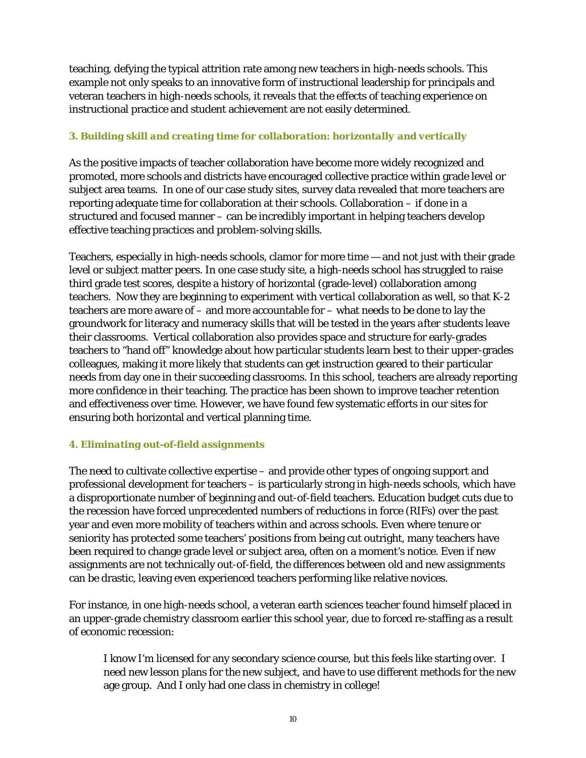teaching, defying the typical attrition rate among new teachers in high-needs schools. This example not only speaks to an innovative form of instructional leadership for principals and veteran teachers in high-needs schools, it reveals that the effects of teaching experience on instructional practice and student achievement are not easily determined.

### *3. Building skill and creating time for collaboration: horizontally and vertically*

As the positive impacts of teacher collaboration have become more widely recognized and promoted, more schools and districts have encouraged collective practice within grade level or subject area teams. In one of our case study sites, survey data revealed that more teachers are reporting adequate time for collaboration at their schools. Collaboration – if done in a structured and focused manner – can be incredibly important in helping teachers develop effective teaching practices and problem-solving skills.

Teachers, especially in high-needs schools, clamor for more time — and not just with their grade level or subject matter peers. In one case study site, a high-needs school has struggled to raise third grade test scores, despite a history of horizontal (grade-level) collaboration among teachers. Now they are beginning to experiment with *vertical* collaboration as well, so that K-2 teachers are more aware of – and more accountable for – what needs to be done to lay the groundwork for literacy and numeracy skills that will be tested in the years *after* students leave their classrooms. Vertical collaboration also provides space and structure for early-grades teachers to "hand off" knowledge about how particular students learn best to their upper-grades colleagues, making it more likely that students can get instruction geared to their particular needs from day one in their succeeding classrooms. In this school, teachers are already reporting more confidence in their teaching. The practice has been shown to improve teacher retention and effectiveness over time. However, we have found few systematic efforts in our sites for ensuring both horizontal and vertical planning time.

### *4. Eliminating out-of-field assignments*

The need to cultivate collective expertise – and provide other types of ongoing support and professional development for teachers – is particularly strong in high-needs schools, which have a disproportionate number of beginning and out-of-field teachers. Education budget cuts due to the recession have forced unprecedented numbers of reductions in force (RIFs) over the past year and even more mobility of teachers within and across schools. Even where tenure or seniority has protected some teachers' positions from being cut outright, many teachers have been required to change grade level or subject area, often on a moment's notice. Even if new assignments are not technically out-of-field, the differences between old and new assignments can be drastic, leaving even experienced teachers performing like relative novices.

For instance, in one high-needs school, a veteran earth sciences teacher found himself placed in an upper-grade chemistry classroom earlier this school year, due to forced re-staffing as a result of economic recession:

I know I'm licensed for any secondary science course, but this feels like starting over. I need new lesson plans for the new subject, and have to use different methods for the new age group. And I only had one class in chemistry in college!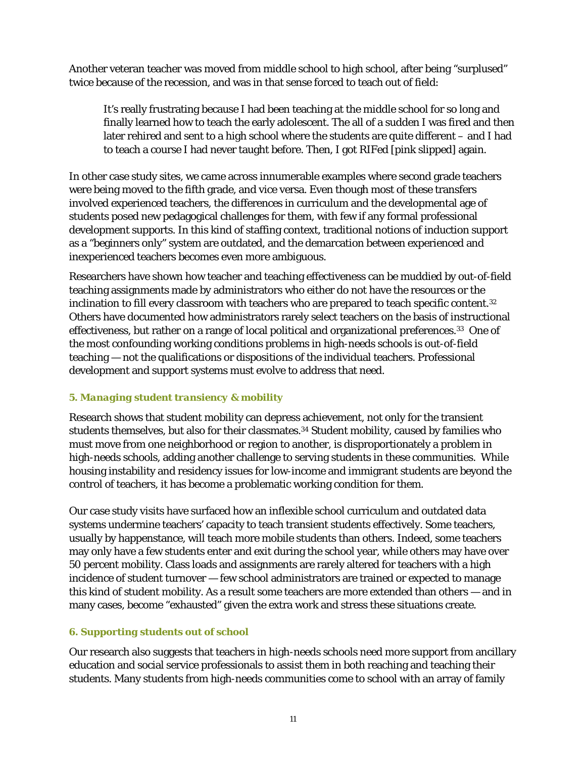Another veteran teacher was moved from middle school to high school, after being "surplused" twice because of the recession, and was in that sense forced to teach out of field:

It's really frustrating because I had been teaching at the middle school for so long and finally learned how to teach the early adolescent. The all of a sudden I was fired and then later rehired and sent to a high school where the students are quite different – and I had to teach a course I had never taught before. Then, I got RIFed [pink slipped] again.

In other case study sites, we came across innumerable examples where second grade teachers were being moved to the fifth grade, and vice versa. Even though most of these transfers involved experienced teachers, the differences in curriculum and the developmental age of students posed new pedagogical challenges for them, with few if any formal professional development supports. In this kind of staffing context, traditional notions of induction support as a "beginners only" system are outdated, and the demarcation between experienced and inexperienced teachers becomes even more ambiguous.

Researchers have shown how teacher and teaching effectiveness can be muddied by out-of-field teaching assignments made by administrators who either do not have the resources or the inclination to fill every classroom with teachers who are prepared to teach specific content.<sup>32</sup> Others have documented how administrators rarely select teachers on the basis of instructional effectiveness, but rather on a range of local political and organizational preferences.<sup>33</sup> One of the most confounding working conditions problems in high-needs schools is out-of-field teaching — not the qualifications or dispositions of the individual teachers. Professional development and support systems must evolve to address that need.

### *5. Managing student transiency & mobility*

Research shows that student mobility can depress achievement, not only for the transient students themselves, but also for their classmates.<sup>34</sup> Student mobility, caused by families who must move from one neighborhood or region to another, is disproportionately a problem in high-needs schools, adding another challenge to serving students in these communities. While housing instability and residency issues for low-income and immigrant students are beyond the control of teachers, it has become a problematic working condition for them.

Our case study visits have surfaced how an inflexible school curriculum and outdated data systems undermine teachers' capacity to teach transient students effectively. Some teachers, usually by happenstance, will teach more mobile students than others. Indeed, some teachers may only have a few students enter and exit during the school year, while others may have over 50 percent mobility. Class loads and assignments are rarely altered for teachers with a high incidence of student turnover — few school administrators are trained or expected to manage this kind of student mobility. As a result some teachers are more extended than others — and in many cases, become "exhausted" given the extra work and stress these situations create.

### *6. Supporting students out of school*

Our research also suggests that teachers in high-needs schools need more support from ancillary education and social service professionals to assist them in both reaching and teaching their students. Many students from high-needs communities come to school with an array of family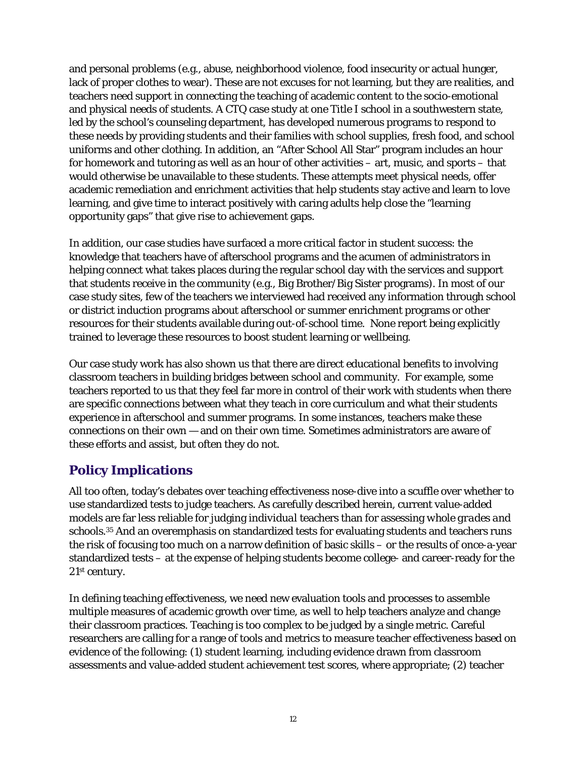and personal problems (e.g., abuse, neighborhood violence, food insecurity or actual hunger, lack of proper clothes to wear). These are not excuses for not learning, but they are realities, and teachers need support in connecting the teaching of academic content to the socio-emotional and physical needs of students. A CTQ case study at one Title I school in a southwestern state, led by the school's counseling department, has developed numerous programs to respond to these needs by providing students and their families with school supplies, fresh food, and school uniforms and other clothing. In addition, an "After School All Star" program includes an hour for homework and tutoring as well as an hour of other activities – art, music, and sports – that would otherwise be unavailable to these students. These attempts meet physical needs, offer academic remediation and enrichment activities that help students stay active and learn to love learning, and give time to interact positively with caring adults help close the "learning opportunity gaps" that give rise to achievement gaps.

In addition, our case studies have surfaced a more critical factor in student success: the knowledge that teachers have of afterschool programs and the acumen of administrators in helping connect what takes places during the regular school day with the services and support that students receive in the community (e.g., Big Brother/Big Sister programs). In most of our case study sites, few of the teachers we interviewed had received any information through school or district induction programs about afterschool or summer enrichment programs or other resources for their students available during out-of-school time. None report being explicitly trained to leverage these resources to boost student learning or wellbeing.

Our case study work has also shown us that there are direct educational benefits to involving classroom teachers in building bridges between school and community. For example, some teachers reported to us that they feel far more in control of their work with students when there are specific connections between what they teach in core curriculum and what their students experience in afterschool and summer programs. In some instances, teachers make these connections on their own — and on their own time. Sometimes administrators are aware of these efforts and assist, but often they do not.

# **Policy Implications**

All too often, today's debates over teaching effectiveness nose-dive into a scuffle over whether to use standardized tests to judge teachers. As carefully described herein, current value-added models are far less reliable for judging *individual* teachers than for assessing *whole grades and schools*.35 And an overemphasis on standardized tests for evaluating students and teachers runs the risk of focusing too much on a narrow definition of basic skills – or the results of once-a-year standardized tests – at the expense of helping students become college- and career-ready for the 21st century.

In defining teaching effectiveness, we need new evaluation tools and processes to assemble multiple measures of academic growth over time, as well to help teachers analyze and change their classroom practices. Teaching is too complex to be judged by a single metric. Careful researchers are calling for a range of tools and metrics to measure teacher effectiveness based on evidence of the following: (1) student learning, including evidence drawn from classroom assessments and value-added student achievement test scores, where appropriate; (2) teacher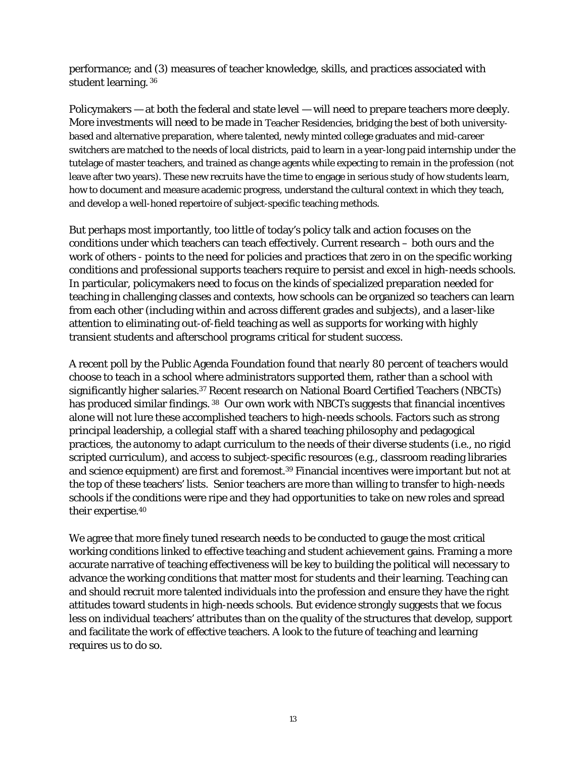performance; and (3) measures of teacher knowledge, skills, and practices associated with student learning. 36

Policymakers — at both the federal and state level — will need to prepare teachers more deeply. More investments will need to be made in Teacher Residencies, bridging the best of both universitybased and alternative preparation, where talented, newly minted college graduates and mid-career switchers are matched to the needs of local districts, paid to learn in a year-long paid internship under the tutelage of master teachers, and trained as change agents while expecting to remain in the profession (not leave after two years). These new recruits have the time to engage in serious study of how students learn, how to document and measure academic progress, understand the cultural context in which they teach, and develop a well-honed repertoire of subject-specific teaching methods.

But perhaps most importantly, too little of today's policy talk and action focuses on the conditions under which teachers can teach effectively. Current research – both ours and the work of others - points to the need for policies and practices that zero in on the specific working conditions and professional supports teachers require to persist and excel in high-needs schools. In particular, policymakers need to focus on the kinds of specialized preparation needed for teaching in challenging classes and contexts, how schools can be organized so teachers can learn from each other (including within and across different grades and subjects), and a laser-like attention to eliminating out-of-field teaching as well as supports for working with highly transient students and afterschool programs critical for student success.

A recent poll by the Public Agenda Foundation found that *nearly 80 percent of teachers* would choose to teach in a school where administrators supported them, rather than a school with significantly higher salaries.<sup>37</sup> Recent research on National Board Certified Teachers (NBCTs) has produced similar findings. 38 Our own work with NBCTs suggests that financial incentives alone will not lure these accomplished teachers to high-needs schools. Factors such as strong principal leadership, a collegial staff with a shared teaching philosophy and pedagogical practices, the autonomy to adapt curriculum to the needs of their diverse students (i.e., no rigid scripted curriculum), and access to subject-specific resources (e.g., classroom reading libraries and science equipment) are first and foremost.<sup>39</sup> Financial incentives were important but not at the top of these teachers' lists. Senior teachers are more than willing to transfer to high-needs schools if the conditions were ripe and they had opportunities to take on new roles and spread their expertise.40

We agree that more finely tuned research needs to be conducted to gauge the most critical working conditions linked to effective teaching and student achievement gains. Framing a more accurate narrative of teaching effectiveness will be key to building the political will necessary to advance the working conditions that matter most for students and their learning. Teaching can and should recruit more talented individuals into the profession and ensure they have the right attitudes toward students in high-needs schools. But evidence strongly suggests that we focus less on individual teachers' attributes than on the quality of the structures that develop, support and facilitate the work of effective teachers. A look to the future of teaching and learning requires us to do so.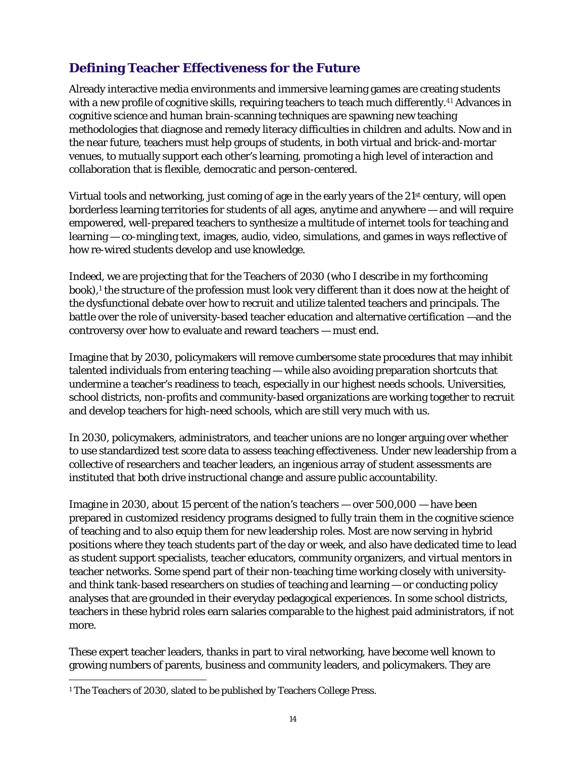# **Defining Teacher Effectiveness for the Future**

Already interactive media environments and immersive learning games are creating students with a new profile of cognitive skills, requiring teachers to teach much differently.<sup>41</sup> Advances in cognitive science and human brain-scanning techniques are spawning new teaching methodologies that diagnose and remedy literacy difficulties in children and adults. Now and in the near future, teachers must help groups of students, in both virtual and brick-and-mortar venues, to mutually support each other's learning, promoting a high level of interaction and collaboration that is flexible, democratic and person-centered.

Virtual tools and networking, just coming of age in the early years of the 21<sup>st</sup> century, will open borderless learning territories for students of all ages, anytime and anywhere — and will require empowered, well-prepared teachers to synthesize a multitude of internet tools for teaching and learning — co-mingling text, images, audio, video, simulations, and games in ways reflective of how re-wired students develop and use knowledge.

Indeed, we are projecting that for the Teachers of 2030 (who I describe in my forthcoming book),<sup>1</sup> the structure of the profession must look very different than it does now at the height of the dysfunctional debate over how to recruit and utilize talented teachers and principals. The battle over the role of university-based teacher education and alternative certification —and the controversy over how to evaluate and reward teachers — must end.

Imagine that by 2030, policymakers will remove cumbersome state procedures that may inhibit talented individuals from entering teaching — while also avoiding preparation shortcuts that undermine a teacher's readiness to teach, especially in our highest needs schools. Universities, school districts, non-profits and community-based organizations are working together to recruit and develop teachers for high-need schools, which are still very much with us.

In 2030, policymakers, administrators, and teacher unions are no longer arguing over whether to use standardized test score data to assess teaching effectiveness. Under new leadership from a collective of researchers and teacher leaders, an ingenious array of student assessments are instituted that both drive instructional change and assure public accountability.

Imagine in 2030, about 15 percent of the nation's teachers — over 500,000 — have been prepared in customized residency programs designed to fully train them in the cognitive science of teaching and to also equip them for new leadership roles. Most are now serving in hybrid positions where they teach students part of the day or week, and also have dedicated time to lead as student support specialists, teacher educators, community organizers, and virtual mentors in teacher networks. Some spend part of their non-teaching time working closely with universityand think tank-based researchers on studies of teaching and learning — or conducting policy analyses that are grounded in their everyday pedagogical experiences. In some school districts, teachers in these hybrid roles earn salaries comparable to the highest paid administrators, if not more.

These expert teacher leaders, thanks in part to viral networking, have become well known to growing numbers of parents, business and community leaders, and policymakers. They are

 $\overline{a}$ <sup>1</sup> *The Teachers of 2030,* slated to be published by Teachers College Press.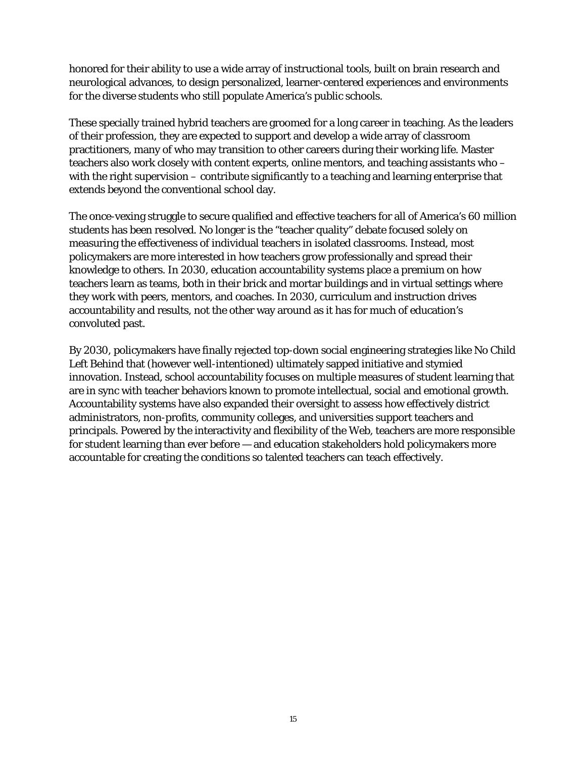honored for their ability to use a wide array of instructional tools, built on brain research and neurological advances, to design personalized, learner-centered experiences and environments for the diverse students who still populate America's public schools.

These specially trained hybrid teachers are groomed for a long career in teaching. As the leaders of their profession, they are expected to support and develop a wide array of classroom practitioners, many of who may transition to other careers during their working life. Master teachers also work closely with content experts, online mentors, and teaching assistants who – with the right supervision – contribute significantly to a teaching and learning enterprise that extends beyond the conventional school day.

The once-vexing struggle to secure qualified and effective teachers for all of America's 60 million students has been resolved. No longer is the "teacher quality" debate focused solely on measuring the effectiveness of individual teachers in isolated classrooms. Instead, most policymakers are more interested in how teachers grow professionally and spread their knowledge to others. In 2030, education accountability systems place a premium on how teachers learn as teams, both in their brick and mortar buildings and in virtual settings where they work with peers, mentors, and coaches. In 2030, curriculum and instruction drives accountability and results, not the other way around as it has for much of education's convoluted past.

By 2030, policymakers have finally rejected top-down social engineering strategies like No Child Left Behind that (however well-intentioned) ultimately sapped initiative and stymied innovation. Instead, school accountability focuses on multiple measures of student learning that are in sync with teacher behaviors known to promote intellectual, social and emotional growth. Accountability systems have also expanded their oversight to assess how effectively district administrators, non-profits, community colleges, and universities support teachers and principals. Powered by the interactivity and flexibility of the Web, teachers are more responsible for student learning than ever before — and education stakeholders hold policymakers more accountable for creating the conditions so talented teachers can teach effectively.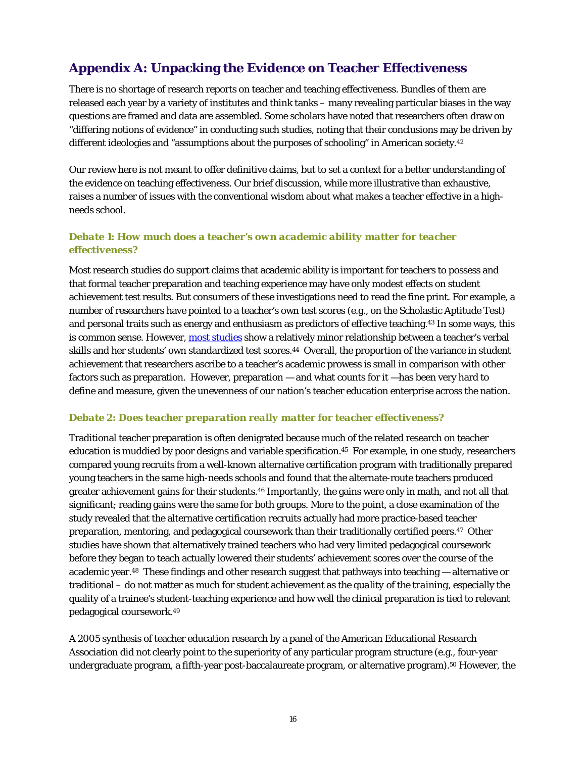# **Appendix A: Unpacking the Evidence on Teacher Effectiveness**

There is no shortage of research reports on teacher and teaching effectiveness. Bundles of them are released each year by a variety of institutes and think tanks – many revealing particular biases in the way questions are framed and data are assembled. Some scholars have noted that researchers often draw on "differing notions of evidence" in conducting such studies, noting that their conclusions may be driven by different ideologies and "assumptions about the purposes of schooling" in American society.<sup>42</sup>

Our review here is not meant to offer definitive claims, but to set a context for a better understanding of the evidence on teaching effectiveness. Our brief discussion, while more illustrative than exhaustive, raises a number of issues with the conventional wisdom about what makes a teacher effective in a highneeds school.

#### *Debate 1: How much does a teacher's own academic ability matter for teacher effectiveness?*

Most research studies do support claims that academic ability is important for teachers to possess and that formal teacher preparation and teaching experience may have only modest effects on student achievement test results. But consumers of these investigations need to read the fine print. For example, a number of researchers have pointed to a teacher's own test scores (e.g., on the Scholastic Aptitude Test) and personal traits such as energy and enthusiasm as predictors of effective teaching.43 In some ways, this is common sense. However, most studies show a relatively minor relationship between a teacher's verbal skills and her students' own standardized test scores.44 Overall, the proportion of the variance in student achievement that researchers ascribe to a teacher's academic prowess is small in comparison with other factors such as preparation. However, preparation — and what counts for it —has been very hard to define and measure, given the unevenness of our nation's teacher education enterprise across the nation.

#### *Debate 2: Does teacher preparation really matter for teacher effectiveness?*

Traditional teacher preparation is often denigrated because much of the related research on teacher education is muddied by poor designs and variable specification.45 For example, in one study, researchers compared young recruits from a well-known alternative certification program with traditionally prepared young teachers in the same high-needs schools and found that the alternate-route teachers produced greater achievement gains for their students.46 Importantly, the gains were only in math, and not all that significant; reading gains were the same for both groups. More to the point, a close examination of the study revealed that the alternative certification recruits actually had more practice-based teacher preparation, mentoring, and pedagogical coursework than their traditionally certified peers.47 Other studies have shown that alternatively trained teachers who had very limited pedagogical coursework before they began to teach actually *lowered* their students' achievement scores over the course of the academic year.48 These findings and other research suggest that pathways into teaching — alternative or traditional – do not matter as much for student achievement as *the quality of the training*, especially the quality of a trainee's student-teaching experience and how well the clinical preparation is tied to relevant pedagogical coursework.49

A 2005 synthesis of teacher education research by a panel of the American Educational Research Association did not clearly point to the superiority of any particular program structure (e.g., four-year undergraduate program, a fifth-year post-baccalaureate program, or alternative program).50 However, the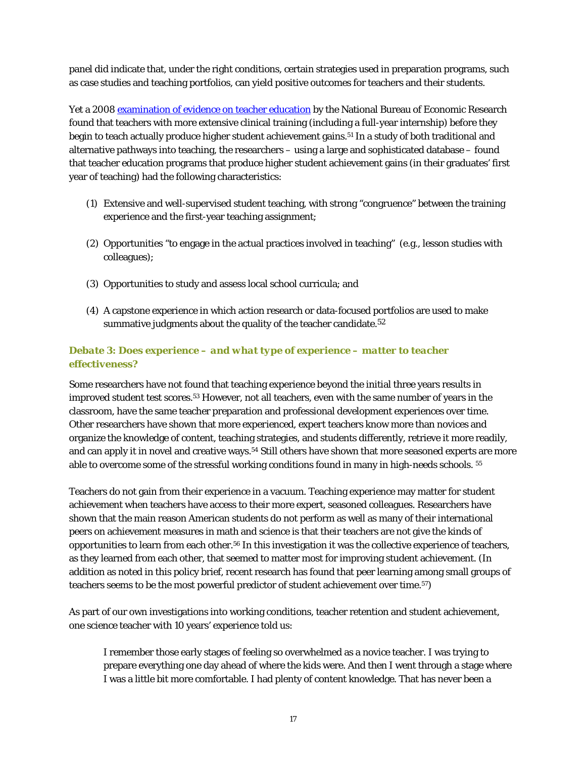panel did indicate that, under the right conditions, certain strategies used in preparation programs, such as case studies and teaching portfolios, can yield positive outcomes for teachers and their students.

Yet a 2008 examination of evidence on teacher education by the National Bureau of Economic Research found that teachers with more extensive clinical training (including a full-year internship) before they begin to teach actually produce higher student achievement gains.51 In a study of both traditional and alternative pathways into teaching, the researchers – using a large and sophisticated database – found that teacher education programs that produce higher student achievement gains (in their graduates' first year of teaching) had the following characteristics:

- (1) Extensive and well-supervised student teaching, with strong "congruence" between the training experience and the first-year teaching assignment;
- (2) Opportunities "to engage in the actual practices involved in teaching" (e.g., lesson studies with colleagues);
- (3) Opportunities to study and assess local school curricula; and
- (4) A capstone experience in which action research or data-focused portfolios are used to make summative judgments about the quality of the teacher candidate.<sup>52</sup>

### *Debate 3: Does experience – and what type of experience – matter to teacher effectiveness?*

Some researchers have not found that teaching experience beyond the initial three years results in improved student test scores.53 However, not all teachers, even with the same number of years in the classroom, have the same teacher preparation and professional development experiences over time. Other researchers have shown that more *experienced*, *expert* teachers know more than novices and organize the knowledge of content, teaching strategies, and students differently, retrieve it more readily, and can apply it in novel and creative ways.54 Still others have shown that more seasoned experts are more able to overcome some of the stressful working conditions found in many in high-needs schools. 55

Teachers do not gain from their experience in a vacuum. Teaching experience may matter for student achievement when teachers have access to their more expert, seasoned colleagues. Researchers have shown that the main reason American students do not perform as well as many of their international peers on achievement measures in math and science is that their teachers are not give the kinds of opportunities to learn from each other.56 In this investigation it was the collective experience of teachers, as they learned from each other, that seemed to matter most for improving student achievement. (In addition as noted in this policy brief, recent research has found that peer learning among small groups of teachers seems to be the most powerful predictor of student achievement over time.57)

As part of our own investigations into working conditions, teacher retention and student achievement, one science teacher with 10 years' experience told us:

I remember those early stages of feeling so overwhelmed as a novice teacher. I was trying to prepare everything one day ahead of where the kids were. And then I went through a stage where I was a little bit more comfortable. I had plenty of content knowledge. That has never been a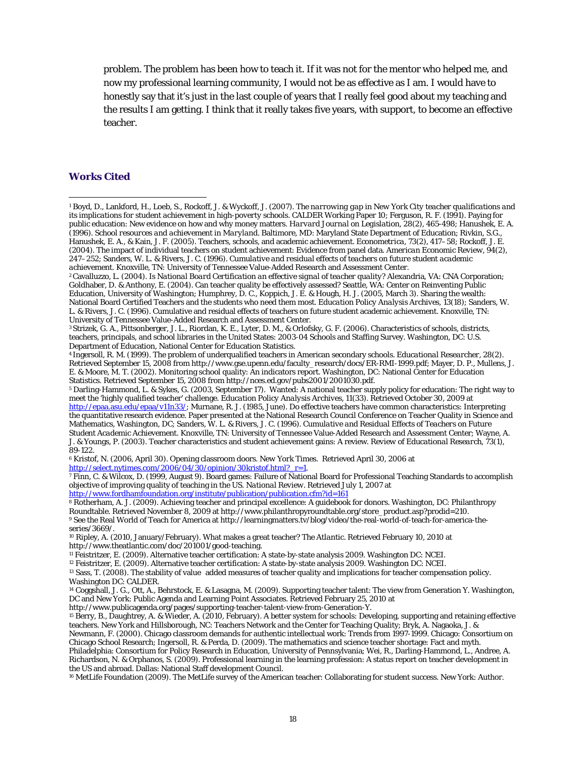problem. The problem has been how to teach it. If it was not for the mentor who helped me, and now my professional learning community, I would not be as effective as I am. I would have to honestly say that it's just in the last couple of years that I really feel good about my teaching and the results I am getting. I think that it really takes five years, with support, to become an effective teacher.

#### **Works Cited**

 $\overline{a}$ 

5 Darling-Hammond, L. & Sykes, G. (2003, September 17). Wanted: A national teacher supply policy for education: The right way to meet the 'highly qualified teacher' challenge. *Education Policy Analysis Archives, 11*(33). Retrieved October 30, 2009 at http://epaa.asu.edu/epaa/v11n33/; Murnane, R. J. (1985, June). Do effective teachers have common characteristics: Interpreting the quantitative research evidence. Paper presented at the National Research Council Conference on Teacher Quality in Science and Mathematics, Washington, DC; Sanders, W. L. & Rivers, J. C. (1996). *Cumulative and Residual Effects of Teachers on Future Student Academic Achievement.* Knoxville, TN: University of Tennessee Value-Added Research and Assessment Center; Wayne, A. J. & Youngs, P. (2003). Teacher characteristics and student achievement gains: A review. *Review of Educational Research, 73*(1), 89-122.

6 Kristof, N. (2006, April 30). Opening classroom doors. *New York Times.* Retrieved April 30, 2006 at

<sup>7</sup> Finn, C. & Wilcox, D. (1999, August 9). Board games: Failure of National Board for Professional Teaching Standards to accomplish objective of improving quality of teaching in the US. *National Review.* Retrieved July 1, 2007 at

<sup>8</sup> Rotherham, A. J. (2009). Achieving teacher and principal excellence: A guidebook for donors. Washington, DC: Philanthropy Roundtable. Retrieved November 8, 2009 at http://www.philanthropyroundtable.org/store\_product.as 9 See the Real World of Teach for America at http://learningmatters.tv/blog/video/the-real-world-of-teach-for-america-theseries/3669/.

10 Ripley, A. (2010, January/February). What makes a great teacher? *The Atlantic.* Retrieved February 10, 2010 at http://www.theatlantic.com/doc/201001/good-teaching.<br><sup>11</sup> Feistritzer, E. (2009). Alternative teacher certification: A state-by-state analysis 2009. Washington DC: NCEI.

 $^{12}$  Feistritzer, E. (2009). Alternative teacher certification: A state-by-state analysis 2009. Washington DC: NCEI.<br> $^{13}$  Sass, T. (2008). The stability of value added measures of teacher quality and implications for Washington DC: CALDER.

14 Coggshall, J. G., Ott, A., Behrstock, E. & Lasagna, M. (2009). Supporting teacher talent: The view from Generation Y. Washington, DC and New York: Public Agenda and Learning Point Associates. Retrieved February 25, 2010 at

Newmann, F. (2000). Chicago classroom demands for authentic intellectual work: Trends from 1997-1999. Chicago: Consortium on Chicago School Research; Ingersoll, R. & Perda, D. (2009). The mathematics and science teacher shortage: Fact and myth.

Philadelphia: Consortium for Policy Research in Education, University of Pennsylvania; Wei, R., Darling-Hammond, L., Andree, A. Richardson, N. & Orphanos, S. (2009). Professional learning in the learning profession: A status report on teacher development in the US and abroad. Dallas: National Staff development Council.<br><sup>16</sup> MetLife Foundation (2009). The MetLife survey of the American teacher: Collaborating for student success. New York: Author.

<sup>1</sup> Boyd, D., Lankford, H., Loeb, S., Rockoff, J. & Wyckoff, J. (2007). *The narrowing gap in New York City teacher qualifications and its implications for student achievement in high-poverty schools.* CALDER Working Paper 10; Ferguson, R. F. (1991). Paying for public education: New evidence on how and why money matters. *Harvard Journal on Legislation, 28*(2), 465-498; Hanushek, E. A. (1996). *School resources and achievement in Maryland.* Baltimore, MD: Maryland State Department of Education; Rivkin, S.G., Hanushek, E. A., & Kain, J. F. (2005). Teachers, schools, and academic achievement. *Econometrica, 73*(2), 417–58; Rockoff, J. E. (2004). The impact of individual teachers on student achievement: Evidence from panel data. *American Economic Review, 94*(2), 247–252; Sanders, W. L. & Rivers, J. C. (1996). *Cumulative and residual effects of teachers on future student academic* 

<sup>&</sup>lt;sup>2</sup> Cavalluzzo, L. (2004). Is National Board Certification an effective signal of teacher quality? Alexandria, VA: CNA Corporation; Goldhaber, D. & Anthony, E. (2004). Can teacher quality be effectively assessed? Seattle, WA: Center on Reinventing Public Education, University of Washington; Humphrey, D. C., Koppich, J. E. & Hough, H. J. (2005, March 3). Sharing the wealth: National Board Certified Teachers and the students who need them most. *Education Policy Analysis Archives, 13*(18); Sanders, W. L. & Rivers, J. C. (1996). Cumulative and residual effects of teachers on future student academic achievement. Knoxville, TN: University of Tennessee Value-Added Research and Assessment Center.

<sup>3</sup> Strizek, G. A., Pittsonberger, J. L., Riordan, K. E., Lyter, D. M., & Orlofsky, G. F. (2006). Characteristics of schools, districts, teachers, principals, and school libraries in the United States: 2003-04 Schools and Staffing Survey. Washington, DC: U.S. Department of Education, National Center for Education Statistics.

<sup>4</sup> Ingersoll, R. M. (1999). The problem of underqualified teachers in American secondary schools. *Educational Researcher, 28*(2). Retrieved September 15, 2008 from http://www.gse.upenn.edu/faculty\_research/docs/ER-RMI-1999.pdf; Mayer, D. P., Mullens, J. E. & Moore, M. T. (2002). Monitoring school quality: An indicators report. Washington, DC: National Center for Education Statistics. Retrieved September 15, 2008 from http://nces.ed.gov/pubs2001/2001030.pdf.

<sup>&</sup>lt;sup>15</sup> Berry, B., Daughtrey, A. & Wieder, A. (2010, February). A better system for schools: Developing, supporting and retaining effective teachers. New York and Hillsborough, NC: Teachers Network and the Center for Teaching Quality; Bryk, A. Nagaoka, J. &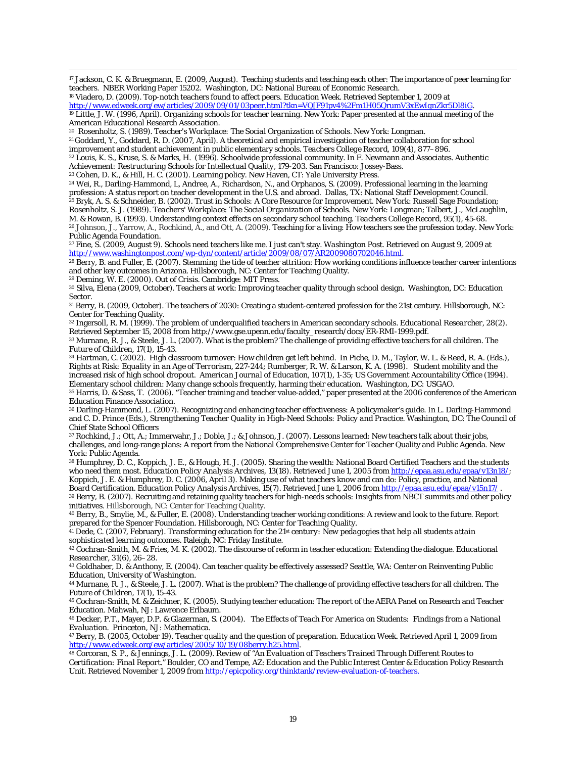17 Jackson, C. K. & Bruegmann, E. (2009, August). Teaching students and teaching each other: The importance of peer learning for teachers. NBER Working Paper 15202. Washington, DC: National Bureau of Economic Research.

|  | <sup>18</sup> Viadero, D. (2009). Top-notch teachers found to affect peers. <i>Education Week</i> . Retrieved September 1, 2009 at                                                       |  |  |  |  |
|--|------------------------------------------------------------------------------------------------------------------------------------------------------------------------------------------|--|--|--|--|
|  | $\mu_{\rm{tot}}/m_{\rm{tot}}$ and $\mu_{\rm{tot}}/m_{\rm{tot}}/m_{\rm{tot}}/2000/00/00/01/02$ near $\mu_{\rm{tot}}$ 24 m VOIE01 m $M_{\rm{tot}}$ 26 m UOE0 m m V2 m E m I m V2 m I m E D |  |  |  |  |

http://www.edweek.org/ew/articles/2009/09/01/03peer.html?tkn=VQ[F91pv4%2Fm1H05QrumV3xEwIqnZkr5Dl8iG.<br><sup>19</sup> Little, J. W. (1996, April). *Organizing schools for teacher learning*. New York: Paper presented at the annual meet

American Educational Research Association.<br><sup>20</sup> Rosenholtz, S. (1989). *Teacher's Workplace: The Social Organization of Schools.* New York: Longman.

<sup>21</sup> Goddard, Y., Goddard, R. D. (2007, April). A theoretical and empirical investigation of teacher collaboration for school

improvement and student achievement in public elementary schools. *Teachers College Record, 109*(4), 877–896.

22 Louis, K. S., Kruse, S. & Marks, H. (1996). Schoolwide professional community. In F. Newmann and Associates*. Authentic* 

Achievement: Restructuring Schools for Intellectual Quality, 179-203. San Francisco: Jossey-Bass.<br><sup>23</sup> Cohen, D. K., & Hill, H. C. (2001). Learning policy. New Haven, CT: Yale University Press.<br><sup>24</sup> Wei, R., Darling-Hammon resigned Staff Development Council.<br>
25 Bryk, A. S. & Schneider, B. (2002). Trust in Schools: A Core Resource for Improvement. New York: Russell Sage Foundation;<br>
<sup>25</sup> Bryk, A. S. & Schneider, B. (2002). Trust in Schools: Rosenholtz, S. J. (1989). *Teachers' Workplace: The Social Organization of Schools*. New York: Longman; Talbert, J., McLaughlin, M. & Rowan, B. (1993). Understanding context effects on secondary school teaching. *Teachers* <sup>26</sup> Johnson, J., Yarrow, A., Rochkind, A., and Ott, A. (2009). Teaching for a living: How teachers see the profession today. New York: Public Agenda Foundation.

27 Fine, S. (2009, August 9). Schools need teachers like me. I just can't stay. *Washington Post.* Retrieved on August 9, 2009 at

http://www.washingtonpost.com/wp-dyn/content/article/2009/08/07/AR2009080702046.html.<br><sup>28</sup> Berry, B. and Fuller, E. (2007). Stemming the tide of teacher attrition: How working conditions influence teacher career intentions

 $\overline{a}$ 

<sup>29</sup> Deming, W. E. (2000). *Out of Crisis.* Cambridge: MIT Press.<br><sup>30</sup> Silva, Elena (2009, October). Teachers at work: Improving teacher quality through school design. Washington, DC: Education **Sector** 

31 Berry, B. (2009, October). The teachers of 2030: Creating a student-centered profession for the 21st century. Hillsborough, NC: Center for Teaching Quality.

32 Ingersoll, R. M. (1999). The problem of underqualified teachers in American secondary schools. *Educational Researcher, 28*(2). Retrieved September 15, 2008 from http://www.gse.upenn.edu/faculty\_research/docs/ER-RMI-1999.pdf.

33 Murnane, R. J., & Steele, J. L. (2007). What is the problem? The challenge of providing effective teachers for all children. *The* 

<sup>34</sup> Hartman, C. (2002). High classroom turnover: How children get left behind. In Piche, D. M., Taylor, W. L. & Reed, R. A. (Eds.), *Rights at Risk: Equality in an Age of Terrorism,* 227-244; Rumberger, R. W. & Larson, K. A. (1998). Student mobility and the increased risk of high school dropout. *American Journal of Education, 107*(1), 1-35; US Government Accountability Office (1994). Elementary school children: Many change schools frequently, harming their education. Washington, DC: USGAO.

35 Harris, D. & Sass, T. (2006). "Teacher training and teacher value-added," paper presented at the 2006 conference of the American Education Finance Association.

36 Darling-Hammond, L. (2007). Recognizing and enhancing teacher effectiveness: A policymaker's guide. In L. Darling-Hammond and C. D. Prince (Eds.), *Strengthening Teacher Quality in High-Need Schools: Policy and Practice.* Washington, DC: The Council of Chief State School Officers

37 Rochkind, J.; Ott, A.; Immerwahr, J.; Doble, J.; & Johnson, J. (2007). Lessons learned: New teachers talk about their jobs, challenges, and long-range plans: A report from the National Comprehensive Center for Teacher Quality and Public Agenda. New York: Public Agenda.

38 Humphrey, D. C., Koppich, J. E., & Hough, H. J. (2005). Sharing the wealth: National Board Certified Teachers and the students who need them most. *Education Policy Analysis Archives*, *13*(18). Retrieved June 1, 2005 from http://epaa.asu.edu/epaa/v13n18/; Koppich, J. E. & Humphrey, D. C. (2006, April 3). Making use of what teachers know and can do: Policy, practice, and National Board Certification. *Education Policy Analysis Archives, 15*(7). Retrieved June 1, 2006 from ht

39 Berry, B. (2007). Recruiting and retaining quality teachers for high-needs schools: Insights from NBCT summits and other policy initiatives. Hillsborough, NC: Center for Teaching Quality.

40 Berry, B., Smylie, M., & Fuller, E. (2008). Understanding teacher working conditions: A review and look to the future. Report prepared for the Spencer Foundation. Hillsborough, NC: Center for Teaching Quality.

41 Dede, C. (2007, February). *Transforming education for the 21st century: New pedagogies that help all students attain* 

*sophisticated learning outcomes.* Raleigh, NC: Friday Institute.<br><sup>42</sup> Cochran-Smith, M. & Fries, M. K. (2002). The discourse of reform in teacher education: Extending the dialogue. *Educational Researcher*, 31(6), 26–28

<sup>43</sup> Goldhaber, D. & Anthony, E. (2004). Can teacher quality be effectively assessed? Seattle, WA: Center on Reinventing Public Education, University of Washington.

<sup>44</sup> Murnane, R. J., & Steele, J. L. (2007). What is the problem? The challenge of providing effective teachers for all children. *The* 

*Future of Children, 17*(1), 15-43.<br><sup>45</sup> Cochran-Smith, M. & Zeichner, K. (2005). Studying teacher education: The report of the AERA Panel on Research and Teacher Education. Mahwah, NJ: Lawrence Erlbaum.

46 Decker, P.T., Mayer, D.P. & Glazerman, S. (2004). *The Effects of Teach For America on Students: Findings from a National* 

<sup>47</sup> Berry, B. (2005, October 19). Teacher quality and the question of preparation. *Education Week.* Retrieved April 1, 2009 from http://www.edweek.org/ew/articles/2005/10/19/08berry.h25.html.

http://www.edweek.org/ew/articles/2005/10/19/08berry.h25.html. 48 Corcoran, S. P., & Jennings, J. L. (2009). *Review of "An Evaluation of Teachers Trained Through Different Routes to Certification: Final Report."* Boulder, CO and Tempe, AZ: Education and the Public Interest Center & Education Policy Research Unit. Retrieved November 1, 2009 from http://epicpolicy.org/thinktank/review-evaluation-of-teachers.